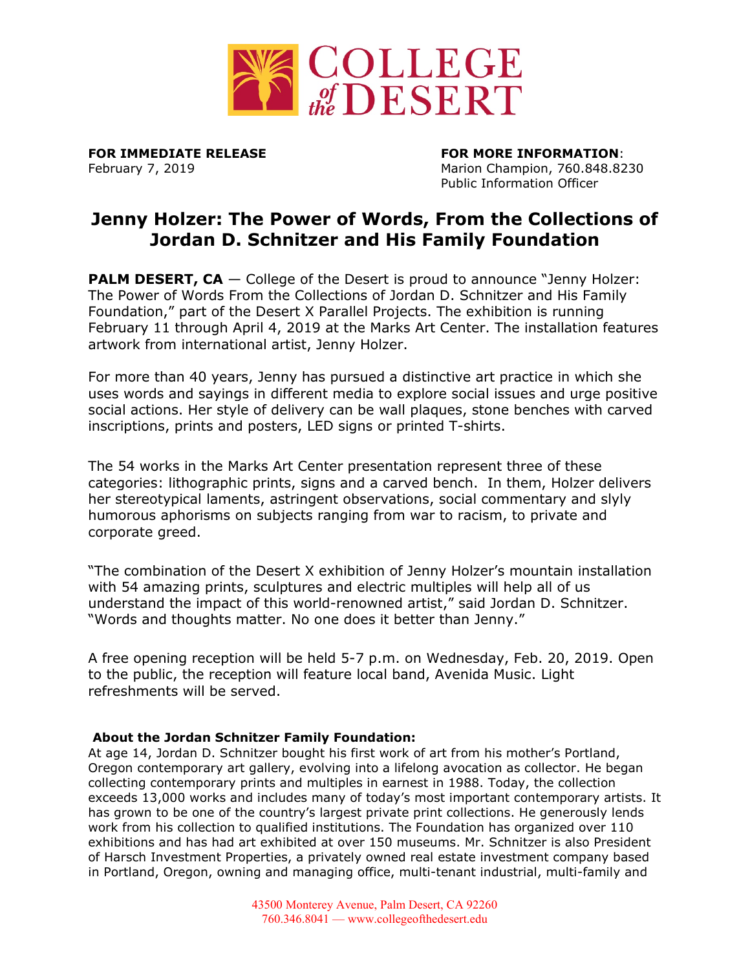

**FOR IMMEDIATE RELEASE FOR MORE INFORMATION**: February 7, 2019 Marion Champion, 760.848.8230 Public Information Officer

## **Jenny Holzer: The Power of Words, From the Collections of Jordan D. Schnitzer and His Family Foundation**

**PALM DESERT, CA** – College of the Desert is proud to announce "Jenny Holzer: The Power of Words From the Collections of Jordan D. Schnitzer and His Family Foundation," part of the Desert X Parallel Projects. The exhibition is running February 11 through April 4, 2019 at the Marks Art Center. The installation features artwork from international artist, Jenny Holzer.

For more than 40 years, Jenny has pursued a distinctive art practice in which she uses words and sayings in different media to explore social issues and urge positive social actions. Her style of delivery can be wall plaques, stone benches with carved inscriptions, prints and posters, LED signs or printed T-shirts.

The 54 works in the Marks Art Center presentation represent three of these categories: lithographic prints, signs and a carved bench. In them, Holzer delivers her stereotypical laments, astringent observations, social commentary and slyly humorous aphorisms on subjects ranging from war to racism, to private and corporate greed.

"The combination of the Desert X exhibition of Jenny Holzer's mountain installation with 54 amazing prints, sculptures and electric multiples will help all of us understand the impact of this world-renowned artist," said Jordan D. Schnitzer. "Words and thoughts matter. No one does it better than Jenny."

A free opening reception will be held 5-7 p.m. on Wednesday, Feb. 20, 2019. Open to the public, the reception will feature local band, Avenida Music. Light refreshments will be served.

## **About the Jordan Schnitzer Family Foundation:**

At age 14, Jordan D. Schnitzer bought his first work of art from his mother's Portland, Oregon contemporary art gallery, evolving into a lifelong avocation as collector. He began collecting contemporary prints and multiples in earnest in 1988. Today, the collection exceeds 13,000 works and includes many of today's most important contemporary artists. It has grown to be one of the country's largest private print collections. He generously lends work from his collection to qualified institutions. The Foundation has organized over 110 exhibitions and has had art exhibited at over 150 museums. Mr. Schnitzer is also President of [Harsch Investment Properties,](http://www.harsch.com/) a privately owned real estate investment company based in Portland, Oregon, owning and managing office, multi-tenant industrial, multi-family and